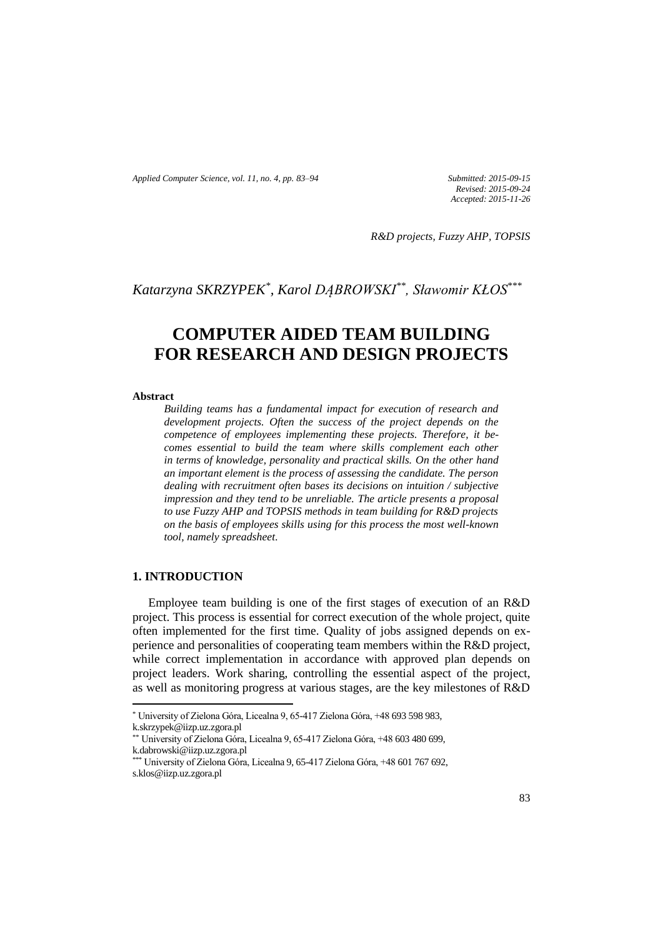*Applied Computer Science, vol. 11, no. 4, pp. 83–94 Submitted: 2015-09-15*

*Revised: 2015-09-24 Accepted: 2015-11-26*

*R&D projects, Fuzzy AHP, TOPSIS*

*Katarzyna SKRZYPEK\* , Karol DĄBROWSKI\*\*, Sławomir KŁOS\*\*\**

# **COMPUTER AIDED TEAM BUILDING FOR RESEARCH AND DESIGN PROJECTS**

### **Abstract**

*Building teams has a fundamental impact for execution of research and development projects. Often the success of the project depends on the competence of employees implementing these projects. Therefore, it becomes essential to build the team where skills complement each other in terms of knowledge, personality and practical skills. On the other hand an important element is the process of assessing the candidate. The person dealing with recruitment often bases its decisions on intuition / subjective impression and they tend to be unreliable. The article presents a proposal to use Fuzzy AHP and TOPSIS methods in team building for R&D projects on the basis of employees skills using for this process the most well-known tool, namely spreadsheet.*

## **1. INTRODUCTION**

Employee team building is one of the first stages of execution of an R&D project. This process is essential for correct execution of the whole project, quite often implemented for the first time. Quality of jobs assigned depends on experience and personalities of cooperating team members within the R&D project, while correct implementation in accordance with approved plan depends on project leaders. Work sharing, controlling the essential aspect of the project, as well as monitoring progress at various stages, are the key milestones of R&D

 $\overline{\phantom{a}}$ 

<sup>\*</sup> University of Zielona Góra, Licealna 9, 65-417 Zielona Góra, +48 693 598 983,

k.skrzypek@iizp.uz.zgora.pl

<sup>\*\*</sup> University of Zielona Góra, Licealna 9, 65-417 Zielona Góra, +48 603 480 699, k.dabrowski@iizp.uz.zgora.pl

<sup>\*\*\*</sup> University of Zielona Góra, Licealna 9, 65-417 Zielona Góra, +48 601 767 692, s.klos@iizp.uz.zgora.pl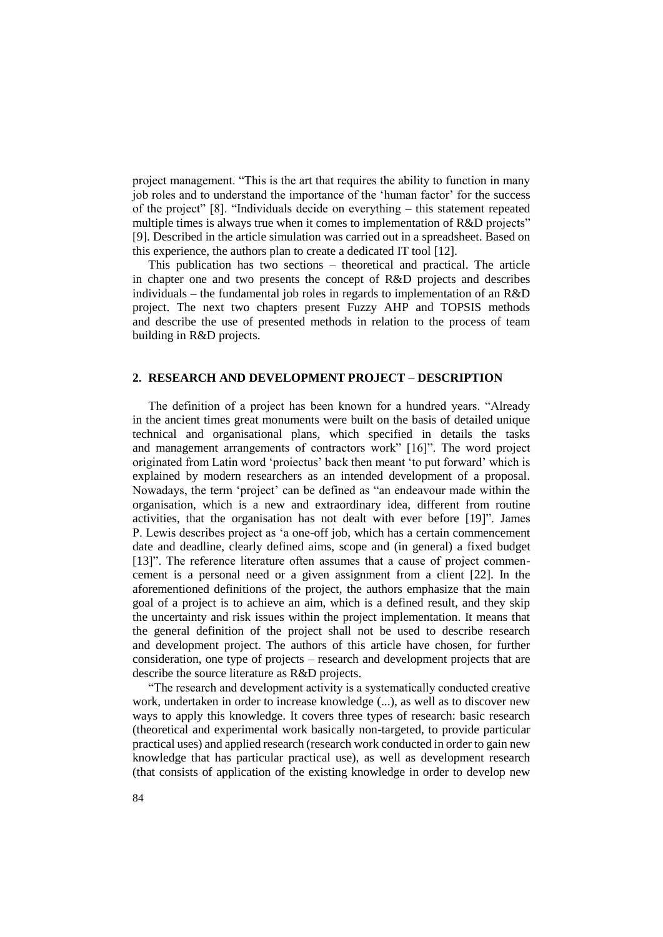project management. "This is the art that requires the ability to function in many job roles and to understand the importance of the 'human factor' for the success of the project" [8]. "Individuals decide on everything – this statement repeated multiple times is always true when it comes to implementation of R&D projects" [9]. Described in the article simulation was carried out in a spreadsheet. Based on this experience, the authors plan to create a dedicated IT tool [12].

This publication has two sections – theoretical and practical. The article in chapter one and two presents the concept of R&D projects and describes individuals – the fundamental job roles in regards to implementation of an R&D project. The next two chapters present Fuzzy AHP and TOPSIS methods and describe the use of presented methods in relation to the process of team building in R&D projects.

## **2. RESEARCH AND DEVELOPMENT PROJECT – DESCRIPTION**

The definition of a project has been known for a hundred years. "Already in the ancient times great monuments were built on the basis of detailed unique technical and organisational plans, which specified in details the tasks and management arrangements of contractors work" [16]". The word project originated from Latin word 'proiectus' back then meant 'to put forward' which is explained by modern researchers as an intended development of a proposal. Nowadays, the term 'project' can be defined as "an endeavour made within the organisation, which is a new and extraordinary idea, different from routine activities, that the organisation has not dealt with ever before [19]". James P. Lewis describes project as 'a one-off job, which has a certain commencement date and deadline, clearly defined aims, scope and (in general) a fixed budget [13]". The reference literature often assumes that a cause of project commencement is a personal need or a given assignment from a client [22]. In the aforementioned definitions of the project, the authors emphasize that the main goal of a project is to achieve an aim, which is a defined result, and they skip the uncertainty and risk issues within the project implementation. It means that the general definition of the project shall not be used to describe research and development project. The authors of this article have chosen, for further consideration, one type of projects – research and development projects that are describe the source literature as R&D projects.

"The research and development activity is a systematically conducted creative work, undertaken in order to increase knowledge (...), as well as to discover new ways to apply this knowledge. It covers three types of research: basic research (theoretical and experimental work basically non-targeted, to provide particular practical uses) and applied research (research work conducted in order to gain new knowledge that has particular practical use), as well as development research (that consists of application of the existing knowledge in order to develop new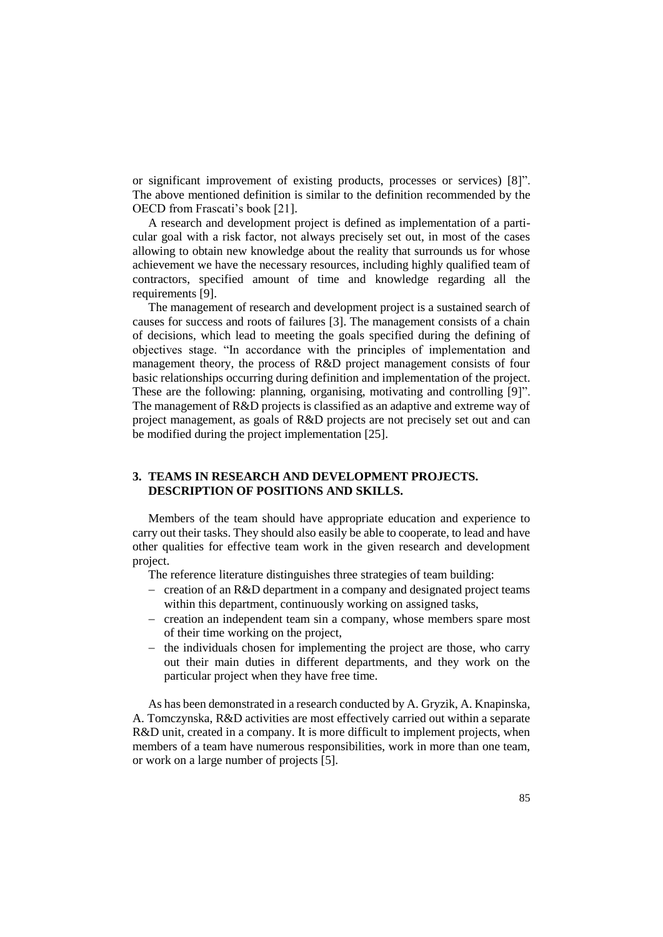or significant improvement of existing products, processes or services) [8]". The above mentioned definition is similar to the definition recommended by the OECD from Frascati's book [21].

A research and development project is defined as implementation of a particular goal with a risk factor, not always precisely set out, in most of the cases allowing to obtain new knowledge about the reality that surrounds us for whose achievement we have the necessary resources, including highly qualified team of contractors, specified amount of time and knowledge regarding all the requirements [9].

The management of research and development project is a sustained search of causes for success and roots of failures [3]. The management consists of a chain of decisions, which lead to meeting the goals specified during the defining of objectives stage. "In accordance with the principles of implementation and management theory, the process of R&D project management consists of four basic relationships occurring during definition and implementation of the project. These are the following: planning, organising, motivating and controlling [9]". The management of R&D projects is classified as an adaptive and extreme way of project management, as goals of R&D projects are not precisely set out and can be modified during the project implementation [25].

# **3. TEAMS IN RESEARCH AND DEVELOPMENT PROJECTS. DESCRIPTION OF POSITIONS AND SKILLS.**

Members of the team should have appropriate education and experience to carry out their tasks. They should also easily be able to cooperate, to lead and have other qualities for effective team work in the given research and development project.

The reference literature distinguishes three strategies of team building:

- $\overline{\phantom{a}}$  creation of an R&D department in a company and designated project teams within this department, continuously working on assigned tasks,
- creation an independent team sin a company, whose members spare most of their time working on the project,
- $-$  the individuals chosen for implementing the project are those, who carry out their main duties in different departments, and they work on the particular project when they have free time.

As has been demonstrated in a research conducted by A. Gryzik, A. Knapinska, A. Tomczynska, R&D activities are most effectively carried out within a separate R&D unit, created in a company. It is more difficult to implement projects, when members of a team have numerous responsibilities, work in more than one team, or work on a large number of projects [5].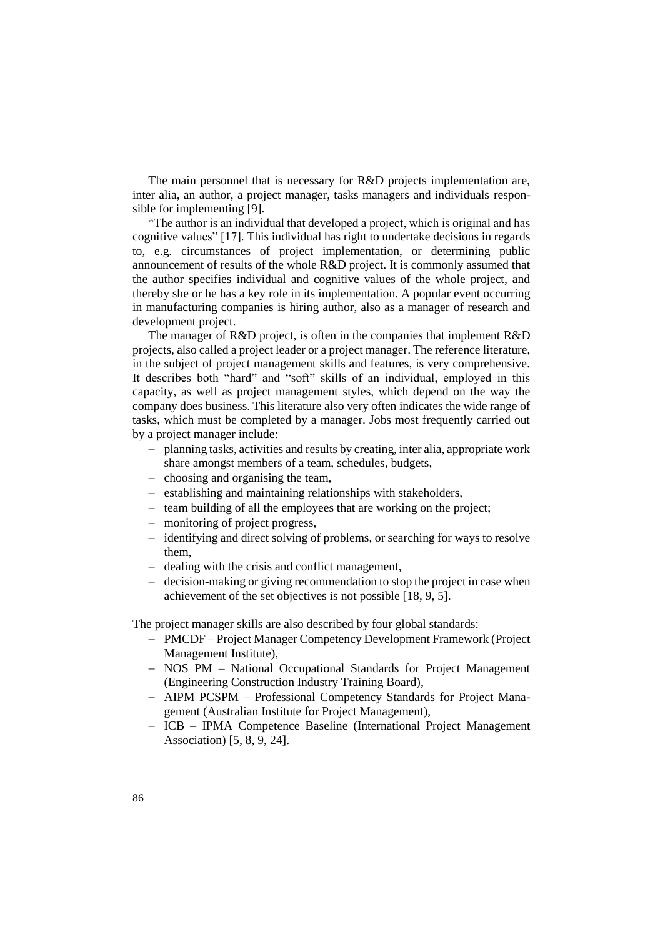The main personnel that is necessary for R&D projects implementation are, inter alia, an author, a project manager, tasks managers and individuals responsible for implementing [9].

"The author is an individual that developed a project, which is original and has cognitive values" [17]. This individual has right to undertake decisions in regards to, e.g. circumstances of project implementation, or determining public announcement of results of the whole R&D project. It is commonly assumed that the author specifies individual and cognitive values of the whole project, and thereby she or he has a key role in its implementation. A popular event occurring in manufacturing companies is hiring author, also as a manager of research and development project.

The manager of R&D project, is often in the companies that implement R&D projects, also called a project leader or a project manager. The reference literature, in the subject of project management skills and features, is very comprehensive. It describes both "hard" and "soft" skills of an individual, employed in this capacity, as well as project management styles, which depend on the way the company does business. This literature also very often indicates the wide range of tasks, which must be completed by a manager. Jobs most frequently carried out by a project manager include:

- planning tasks, activities and results by creating, inter alia, appropriate work share amongst members of a team, schedules, budgets,
- choosing and organising the team,
- establishing and maintaining relationships with stakeholders,
- $-$  team building of all the employees that are working on the project;
- monitoring of project progress,
- identifying and direct solving of problems, or searching for ways to resolve them,
- dealing with the crisis and conflict management,
- decision-making or giving recommendation to stop the project in case when achievement of the set objectives is not possible [18, 9, 5].

The project manager skills are also described by four global standards:

- PMCDF Project Manager Competency Development Framework (Project Management Institute),
- NOS PM National Occupational Standards for Project Management (Engineering Construction Industry Training Board),
- AIPM PCSPM Professional Competency Standards for Project Management (Australian Institute for Project Management),
- ICB IPMA Competence Baseline (International Project Management Association) [5, 8, 9, 24].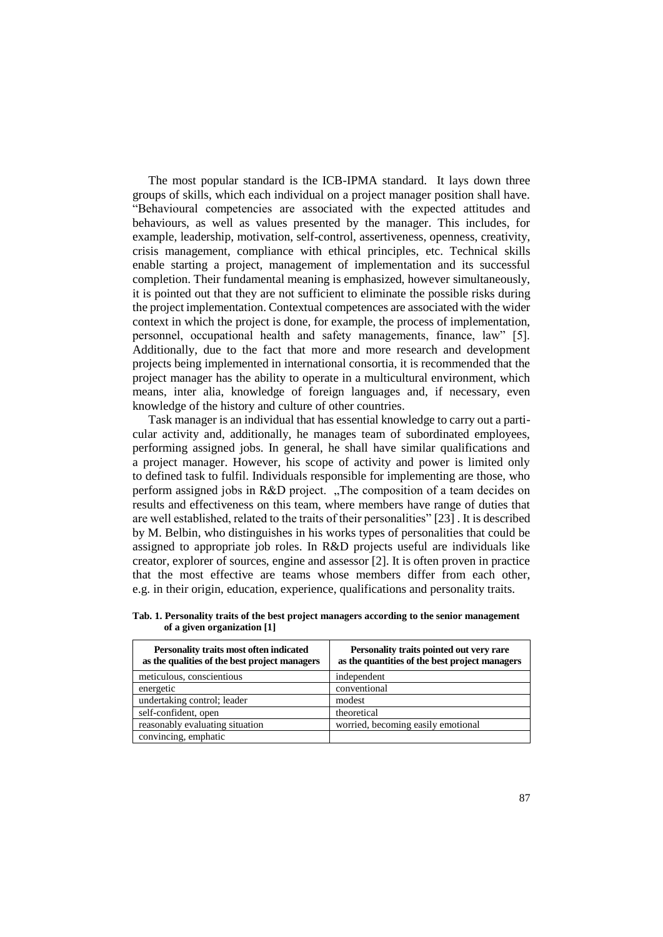The most popular standard is the ICB-IPMA standard. It lays down three groups of skills, which each individual on a project manager position shall have. "Behavioural competencies are associated with the expected attitudes and behaviours, as well as values presented by the manager. This includes, for example, leadership, motivation, self-control, assertiveness, openness, creativity, crisis management, compliance with ethical principles, etc. Technical skills enable starting a project, management of implementation and its successful completion. Their fundamental meaning is emphasized, however simultaneously, it is pointed out that they are not sufficient to eliminate the possible risks during the project implementation. Contextual competences are associated with the wider context in which the project is done, for example, the process of implementation, personnel, occupational health and safety managements, finance, law" [5]. Additionally, due to the fact that more and more research and development projects being implemented in international consortia, it is recommended that the project manager has the ability to operate in a multicultural environment, which means, inter alia, knowledge of foreign languages and, if necessary, even knowledge of the history and culture of other countries.

Task manager is an individual that has essential knowledge to carry out a particular activity and, additionally, he manages team of subordinated employees, performing assigned jobs. In general, he shall have similar qualifications and a project manager. However, his scope of activity and power is limited only to defined task to fulfil. Individuals responsible for implementing are those, who perform assigned jobs in R&D project. "The composition of a team decides on results and effectiveness on this team, where members have range of duties that are well established, related to the traits of their personalities" [23] . It is described by M. Belbin, who distinguishes in his works types of personalities that could be assigned to appropriate job roles. In R&D projects useful are individuals like creator, explorer of sources, engine and assessor [2]. It is often proven in practice that the most effective are teams whose members differ from each other, e.g. in their origin, education, experience, qualifications and personality traits.

| Personality traits most often indicated<br>as the qualities of the best project managers | Personality traits pointed out very rare<br>as the quantities of the best project managers |
|------------------------------------------------------------------------------------------|--------------------------------------------------------------------------------------------|
| meticulous, conscientious                                                                | independent                                                                                |
| energetic                                                                                | conventional                                                                               |
| undertaking control; leader                                                              | modest                                                                                     |
| self-confident, open                                                                     | theoretical                                                                                |
| reasonably evaluating situation                                                          | worried, becoming easily emotional                                                         |
| convincing, emphatic                                                                     |                                                                                            |

**Tab. 1. Personality traits of the best project managers according to the senior management of a given organization [1]**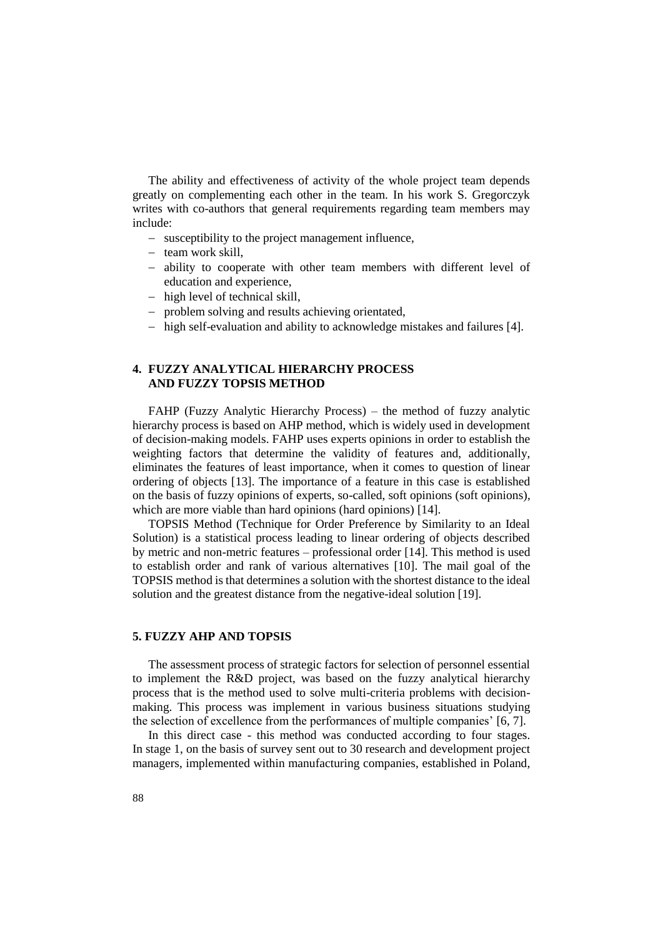The ability and effectiveness of activity of the whole project team depends greatly on complementing each other in the team. In his work S. Gregorczyk writes with co-authors that general requirements regarding team members may include:

- susceptibility to the project management influence,
- $-$  team work skill.
- ability to cooperate with other team members with different level of education and experience,
- high level of technical skill,
- problem solving and results achieving orientated,
- high self-evaluation and ability to acknowledge mistakes and failures [4].

# **4. FUZZY ANALYTICAL HIERARCHY PROCESS AND FUZZY TOPSIS METHOD**

FAHP (Fuzzy Analytic Hierarchy Process) – the method of fuzzy analytic hierarchy process is based on AHP method, which is widely used in development of decision-making models. FAHP uses experts opinions in order to establish the weighting factors that determine the validity of features and, additionally, eliminates the features of least importance, when it comes to question of linear ordering of objects [13]. The importance of a feature in this case is established on the basis of fuzzy opinions of experts, so-called, soft opinions (soft opinions), which are more viable than hard opinions (hard opinions) [14].

TOPSIS Method (Technique for Order Preference by Similarity to an Ideal Solution) is a statistical process leading to linear ordering of objects described by metric and non-metric features – professional order [14]. This method is used to establish order and rank of various alternatives [10]. The mail goal of the TOPSIS method is that determines a solution with the shortest distance to the ideal solution and the greatest distance from the negative-ideal solution [19].

#### **5. FUZZY AHP AND TOPSIS**

The assessment process of strategic factors for selection of personnel essential to implement the R&D project, was based on the fuzzy analytical hierarchy process that is the method used to solve multi-criteria problems with decisionmaking. This process was implement in various business situations studying the selection of excellence from the performances of multiple companies' [6, 7].

In this direct case - this method was conducted according to four stages. In stage 1, on the basis of survey sent out to 30 research and development project managers, implemented within manufacturing companies, established in Poland,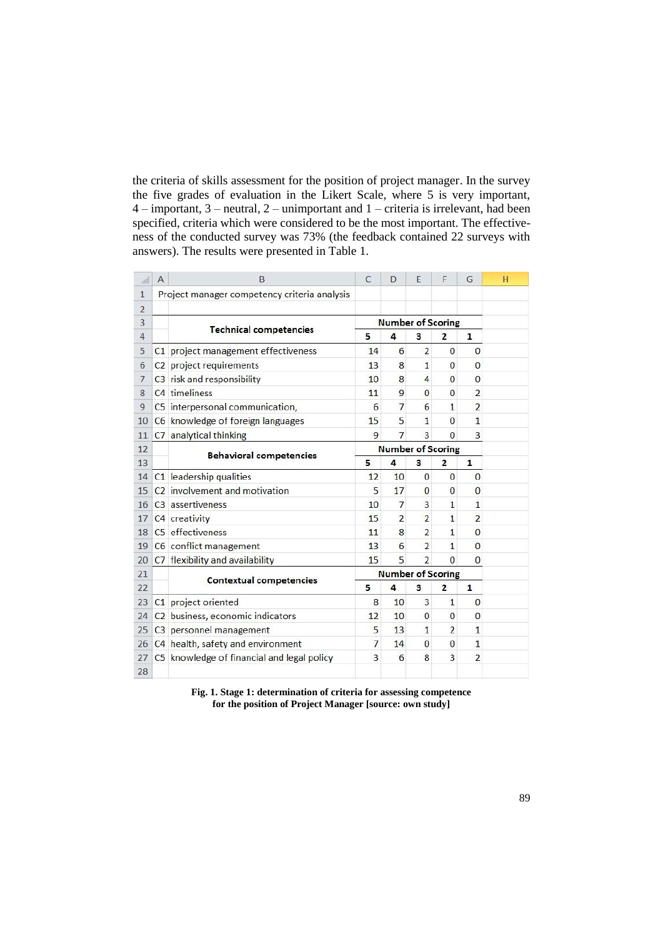the criteria of skills assessment for the position of project manager. In the survey the five grades of evaluation in the Likert Scale, where 5 is very important, 4 – important, 3 – neutral, 2 – unimportant and 1 – criteria is irrelevant, had been specified, criteria which were considered to be the most important. The effectiveness of the conducted survey was 73% (the feedback contained 22 surveys with answers). The results were presented in Table 1.

| ⊿              | A | B                                            | $\mathcal{C}$ | D                        | E              | F              | G              | H |
|----------------|---|----------------------------------------------|---------------|--------------------------|----------------|----------------|----------------|---|
| $\mathbf{1}$   |   | Project manager competency criteria analysis |               |                          |                |                |                |   |
| $\overline{2}$ |   |                                              |               |                          |                |                |                |   |
| 3              |   |                                              |               | <b>Number of Scoring</b> |                |                |                |   |
| $\overline{4}$ |   | <b>Technical competencies</b>                | 5             | 4                        | 3              | $\overline{2}$ | $\mathbf{1}$   |   |
| 5              |   | C1 project management effectiveness          | 14            | 6                        | $\overline{2}$ | $\mathbf{0}$   | $\mathbf{0}$   |   |
| 6              |   | C2 project requirements                      | 13            | 8                        | $\mathbf{1}$   | $\Omega$       | $\overline{0}$ |   |
| $\overline{7}$ |   | C3 risk and responsibility                   | 10            | 8                        | 4              | $\overline{0}$ | $\overline{0}$ |   |
| 8              |   | C4 timeliness                                | 11            | 9                        | $\mathbf{0}$   | $\mathbf{0}$   | $\overline{2}$ |   |
| 9              |   | C5 interpersonal communication,              | 6             | 7                        | 6              | $\mathbf{1}$   | $\overline{2}$ |   |
| 10             |   | C6 knowledge of foreign languages            | 15            | 5                        | 1              | $\Omega$       | $\mathbf{1}$   |   |
| 11             |   | C7 analytical thinking                       | 9             | $\overline{7}$           | 3              | $\Omega$       | 3              |   |
| 12             |   |                                              |               | <b>Number of Scoring</b> |                |                |                |   |
| 13             |   | <b>Behavioral competencies</b>               | 5             | 4                        | 3              | $\overline{2}$ | $\mathbf{1}$   |   |
| 14             |   | C1 leadership qualities                      | 12            | 10                       | $\mathbf 0$    | $\mathbf{0}$   | $\mathbf{0}$   |   |
| 15             |   | C <sub>2</sub> involvement and motivation    | 5             | 17                       | $\mathbf{0}$   | $\bf{0}$       | $\mathbf{0}$   |   |
| 16             |   | C3 assertiveness                             | 10            | $\overline{7}$           | 3              | $\mathbf{1}$   | $\mathbf{1}$   |   |
| 17             |   | C4 creativity                                | 15            | $\overline{2}$           | $\overline{2}$ | $\mathbf{1}$   | $\overline{2}$ |   |
| 18             |   | C5 effectiveness                             | 11            | 8                        | $\overline{2}$ | $\mathbf{1}$   | $\overline{0}$ |   |
| 19             |   | C6 conflict management                       | 13            | 6                        | $\overline{2}$ | $\mathbf{1}$   | $\mathbf{0}$   |   |
| 20             |   | C7 flexibility and availability              | 15            | 5                        | $\overline{2}$ | $\Omega$       | $\Omega$       |   |
| 21             |   | <b>Contextual competencies</b>               |               | <b>Number of Scoring</b> |                |                |                |   |
| 22             |   |                                              | 5             | 4                        | 3              | $\overline{2}$ | $\mathbf{1}$   |   |
| 23             |   | C1 project oriented                          | 8             | 10                       | 3              | $\mathbf{1}$   | $\mathbf{0}$   |   |
| 24             |   | C2 business, economic indicators             | 12            | 10                       | 0              | $\mathbf{0}$   | $\mathbf{0}$   |   |
| 25             |   | C3 personnel management                      | 5             | 13                       | 1              | $\overline{2}$ | $\mathbf{1}$   |   |
| 26             |   | C4 health, safety and environment            | 7             | 14                       | $\mathbf{0}$   | $\mathbf{0}$   | $\mathbf{1}$   |   |
| 27             |   | C5 knowledge of financial and legal policy   | 3             | 6                        | 8              | 3              | $\overline{2}$ |   |
| 28             |   |                                              |               |                          |                |                |                |   |

**Fig. 1. Stage 1: determination of criteria for assessing competence for the position of Project Manager [source: own study]**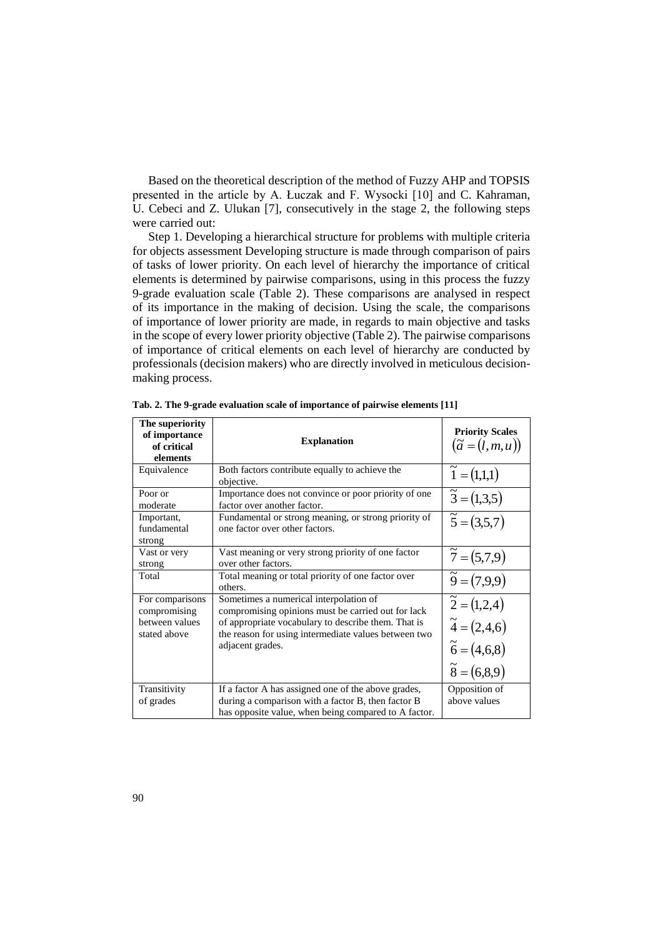Based on the theoretical description of the method of Fuzzy AHP and TOPSIS presented in the article by A. Łuczak and F. Wysocki [10] and C. Kahraman, U. Cebeci and Z. Ulukan [7], consecutively in the stage 2, the following steps were carried out:

Step 1. Developing a hierarchical structure for problems with multiple criteria for objects assessment Developing structure is made through comparison of pairs of tasks of lower priority. On each level of hierarchy the importance of critical elements is determined by pairwise comparisons, using in this process the fuzzy 9-grade evaluation scale (Table 2). These comparisons are analysed in respect of its importance in the making of decision. Using the scale, the comparisons of importance of lower priority are made, in regards to main objective and tasks in the scope of every lower priority objective (Table 2). The pairwise comparisons of importance of critical elements on each level of hierarchy are conducted by professionals (decision makers) who are directly involved in meticulous decisionmaking process.

| The superiority<br>of importance<br>of critical<br>elements       | <b>Explanation</b>                                                                                                                                                                                                              | <b>Priority Scales</b><br>$(\tilde{a}=(l,m,u))$                                                          |
|-------------------------------------------------------------------|---------------------------------------------------------------------------------------------------------------------------------------------------------------------------------------------------------------------------------|----------------------------------------------------------------------------------------------------------|
| Equivalence                                                       | Both factors contribute equally to achieve the<br>objective.                                                                                                                                                                    | $\tilde{1} = (1,1,1)$                                                                                    |
| Poor or<br>moderate                                               | Importance does not convince or poor priority of one<br>factor over another factor.                                                                                                                                             | $\tilde{3} = (1,3,5)$                                                                                    |
| Important,<br>fundamental<br>strong                               | Fundamental or strong meaning, or strong priority of<br>one factor over other factors.                                                                                                                                          | $\tilde{5} = (3,5,7)$                                                                                    |
| Vast or very<br>strong                                            | Vast meaning or very strong priority of one factor<br>over other factors.                                                                                                                                                       | $\tilde{7} = (5,7,9)$                                                                                    |
| Total                                                             | Total meaning or total priority of one factor over<br>others.                                                                                                                                                                   | $\tilde{9} = (7,9,9)$                                                                                    |
| For comparisons<br>compromising<br>between values<br>stated above | Sometimes a numerical interpolation of<br>compromising opinions must be carried out for lack<br>of appropriate vocabulary to describe them. That is<br>the reason for using intermediate values between two<br>adjacent grades. | $\tilde{2} = (1,2,4)$<br>$\widetilde{4} = (2, 4, 6)$<br>$\tilde{6} = (4, 6, 8)$<br>$\tilde{8} = (6,8,9)$ |
| Transitivity<br>of grades                                         | If a factor A has assigned one of the above grades,<br>during a comparison with a factor B, then factor B<br>has opposite value, when being compared to A factor.                                                               | Opposition of<br>above values                                                                            |

**Tab. 2. The 9-grade evaluation scale of importance of pairwise elements [11]**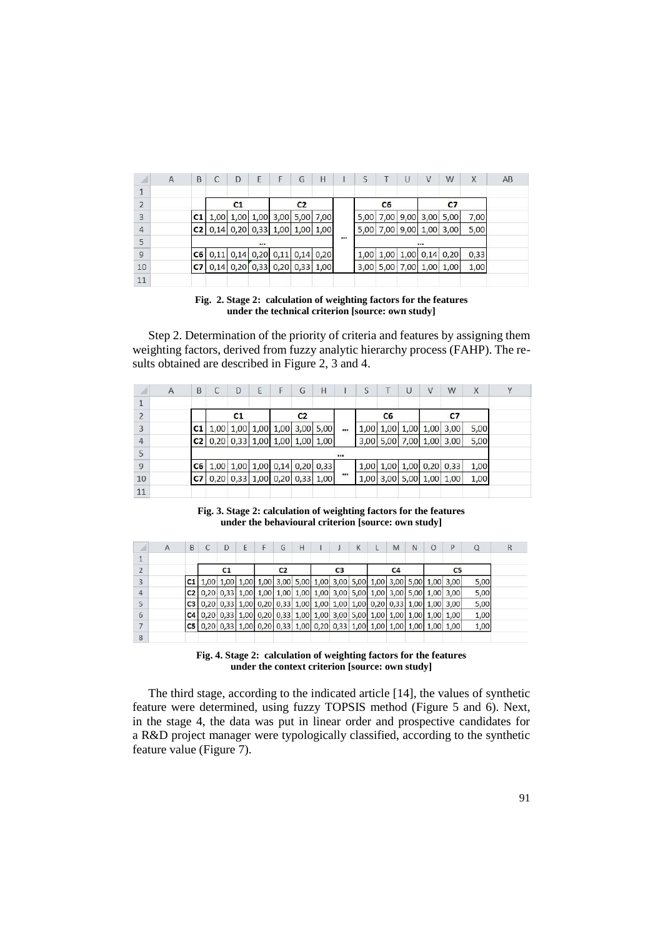| z.             | A | B              | C    | D                             | Ε           | F                | G              | H    | S    |                | U    | V                | W    | X    | AB |
|----------------|---|----------------|------|-------------------------------|-------------|------------------|----------------|------|------|----------------|------|------------------|------|------|----|
| $\mathbf{1}$   |   |                |      |                               |             |                  |                |      |      |                |      |                  |      |      |    |
| $\overline{2}$ |   |                |      | C <sub>1</sub>                |             |                  | C <sub>2</sub> |      |      | C <sub>6</sub> |      |                  | C7   |      |    |
| 3              |   | C1             | 1,00 |                               | $1,00$ 1,00 |                  | $3,00$ $5,00$  | 7,00 | 5,00 | 7,00           | 9,00 | 3,00             | 5,00 | 7,00 |    |
| $\overline{4}$ |   | C2             |      | $0,14$ 0,20                   |             | $0,33$ 1,00 1,00 |                | 1,00 | 5,00 | 7,00           | 9,00 | 1,00             | 3,00 | 5,00 |    |
| 5              |   |                |      |                               | $\cdots$    |                  |                |      |      |                |      |                  |      |      |    |
| $\overline{9}$ |   | C6             |      | 0,11 0,14 0,20 0,11 0,14 0,20 |             |                  |                |      | 1,00 | 1,00           |      | $1,00$ 0,14 0,20 |      | 0,33 |    |
| 10             |   | C <sub>7</sub> |      | $0,14$ 0,20                   |             | $0,33$ 0,20 0,33 |                | 1,00 | 3,00 | 5,00           | 7,00 | 1,00             | 1,00 | 1,00 |    |
| 11             |   |                |      |                               |             |                  |                |      |      |                |      |                  |      |      |    |

**Fig. 2. Stage 2: calculation of weighting factors for the features under the technical criterion [source: own study]**

Step 2. Determination of the priority of criteria and features by assigning them weighting factors, derived from fuzzy analytic hierarchy process (FAHP). The results obtained are described in Figure 2, 3 and 4.

| А              | A | B              | C                                       | D              | E | F | G              | Η                               | S        |                | U | V              | W                        | X    |
|----------------|---|----------------|-----------------------------------------|----------------|---|---|----------------|---------------------------------|----------|----------------|---|----------------|--------------------------|------|
| $\mathbf{1}$   |   |                |                                         |                |   |   |                |                                 |          |                |   |                |                          |      |
| $\overline{2}$ |   |                |                                         | C <sub>1</sub> |   |   | C <sub>2</sub> |                                 |          | C <sub>6</sub> |   |                | C7                       |      |
| 3              |   | C <sub>1</sub> |                                         |                |   |   |                | 1,00 1,00 1,00 1,00 3,00 5,00   | <br>1,00 | $1,00$ 1,00    |   | 1,00           | 3,00                     | 5,00 |
| $\overline{4}$ |   | C2             |                                         |                |   |   |                | $0,20$ 0,33 1,00 1,00 1,00 1,00 |          | 3,00 5,00 7,00 |   | 1,00           | 3,00                     | 5,00 |
| 5              |   |                |                                         |                |   |   |                |                                 |          |                |   |                |                          |      |
| $\overline{9}$ |   |                | <b>C6</b> 1,00 1,00 1,00 0,14 0,20 0,33 |                |   |   |                |                                 |          |                |   |                | 1,00 1,00 1,00 0,20 0,33 | 1,00 |
| 10             |   | C7             |                                         |                |   |   |                | 0,20 0,33 1,00 0,20 0,33 1,00   | <br>1,00 | 3,00           |   | 5,00 1,00 1,00 |                          | 1,00 |
| 11             |   |                |                                         |                |   |   |                |                                 |          |                |   |                |                          |      |

**Fig. 3. Stage 2: calculation of weighting factors for the features under the behavioural criterion [source: own study]**

| ж              | $\overline{A}$ | B              |                                                             | D  | Ε | G              | H |                                              |                | К | M              | N | $\circ$             | P                                                                         |      |
|----------------|----------------|----------------|-------------------------------------------------------------|----|---|----------------|---|----------------------------------------------|----------------|---|----------------|---|---------------------|---------------------------------------------------------------------------|------|
| $\mathbf{1}$   |                |                |                                                             |    |   |                |   |                                              |                |   |                |   |                     |                                                                           |      |
| $\overline{2}$ |                |                |                                                             | C1 |   | C <sub>2</sub> |   |                                              | C <sub>3</sub> |   | C <sub>4</sub> |   |                     | C5                                                                        |      |
| 3              |                |                | <b>C1</b> 1,00 1,00 1,00 1,00 3,00 5,00 1,00 3,00 5,00 1,00 |    |   |                |   |                                              |                |   |                |   |                     | 3,00 5,00 1,00 3,00                                                       | 5,00 |
| $\overline{4}$ |                | C2             | 0.20                                                        |    |   |                |   | 0,33 1,00 1,00 1,00 1,00 1,00 3,00 5,00 1,00 |                |   |                |   | 3,00 5,00 1,00 3,00 |                                                                           | 5,00 |
| 5              |                | C <sub>3</sub> | 0,20                                                        |    |   |                |   |                                              |                |   |                |   |                     | $ 0,33 $ 1,00 0,20 0,33 1,00 1,00 1,00 1,00 0,20 0,33 1,00 1,00 3,00      | 5,00 |
| 6              |                | C <sub>4</sub> | 0,20                                                        |    |   |                |   |                                              |                |   |                |   |                     | $0,33$ 1,00 $0,20$ 0,33 1,00 1,00 3,00 5,00 1,00 1,00 1,00 1,00 1,00 1,00 | 1,00 |
| $\overline{7}$ |                |                | 0,20                                                        |    |   |                |   | 0,33 1,00 0,20 0,33 1,00 0,20 0,33 1,00 1,00 |                |   |                |   | 1,00 1,00 1,00 1,00 |                                                                           | 1,00 |
| 8              |                |                |                                                             |    |   |                |   |                                              |                |   |                |   |                     |                                                                           |      |

**Fig. 4. Stage 2: calculation of weighting factors for the features under the context criterion [source: own study]**

The third stage, according to the indicated article [14], the values of synthetic feature were determined, using fuzzy TOPSIS method (Figure 5 and 6). Next, in the stage 4, the data was put in linear order and prospective candidates for a R&D project manager were typologically classified, according to the synthetic feature value (Figure 7).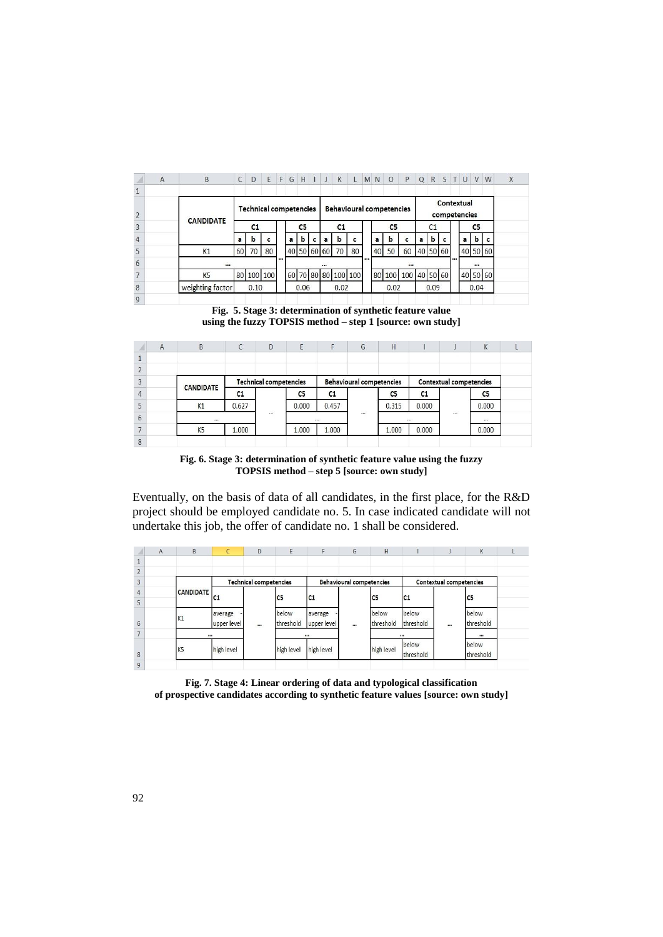|                | $\overline{A}$ | B                | C  | D                             | E  | F  | G | H              |   |   | K                   | L  | <b>MN</b> | $\circ$                         | P                   | $\Omega$ | R              |  | STUV                       |                | W |
|----------------|----------------|------------------|----|-------------------------------|----|----|---|----------------|---|---|---------------------|----|-----------|---------------------------------|---------------------|----------|----------------|--|----------------------------|----------------|---|
| $\Omega$       |                |                  |    | <b>Technical competencies</b> |    |    |   |                |   |   |                     |    |           | <b>Behavioural competencies</b> |                     |          |                |  | Contextual<br>competencies |                |   |
| 3              |                | <b>CANDIDATE</b> |    | C <sub>1</sub>                |    |    |   | C <sub>5</sub> |   |   | C1                  |    |           | C <sub>5</sub>                  |                     |          | C <sub>1</sub> |  |                            | C <sub>5</sub> |   |
| $\overline{4}$ |                |                  | a  | b                             | c  |    | a | b              | c | a | b                   | c  | a         | b                               | c                   | a        | b              |  | a                          | b              | c |
| 5              |                | K1               | 60 | 70                            | 80 |    |   |                |   |   | 40 50 60 60 70      | 80 | 40        | 50                              | 60                  | 40 50 60 |                |  |                            | 40 50 60       |   |
| 6              |                |                  |    |                               |    | $$ |   |                |   |   |                     |    |           |                                 | $\cdots$            |          |                |  |                            |                |   |
|                |                | K <sub>5</sub>   |    | 80 100 100                    |    |    |   |                |   |   | 60 70 80 80 100 100 |    |           |                                 | 80 100 100 40 50 60 |          |                |  |                            | 40 50 60       |   |
| 8              |                | weighting factor |    | 0.10                          |    |    |   | 0.06           |   |   | 0.02                |    |           | 0.02                            |                     |          | 0.09           |  |                            | 0.04           |   |
| $\mathbf{q}$   |                |                  |    |                               |    |    |   |                |   |   |                     |    |           |                                 |                     |          |                |  |                            |                |   |

**Fig. 5. Stage 3: determination of synthetic feature value using the fuzzy TOPSIS method – step 1 [source: own study]**

|                | A | B                | С     | D                             |       | F        | G                               | H     |       |                         | K        |  |
|----------------|---|------------------|-------|-------------------------------|-------|----------|---------------------------------|-------|-------|-------------------------|----------|--|
|                |   |                  |       |                               |       |          |                                 |       |       |                         |          |  |
| C              |   |                  |       |                               |       |          |                                 |       |       |                         |          |  |
| 3              |   | <b>CANDIDATE</b> |       | <b>Technical competencies</b> |       |          | <b>Behavioural competencies</b> |       |       | Contextual competencies |          |  |
| $\overline{4}$ |   |                  | C1    |                               | C5    | C1       |                                 | C5    | C1    |                         | C5       |  |
| 5              |   | K1               | 0.627 |                               | 0.000 | 0.457    |                                 | 0.315 | 0.000 |                         | 0.000    |  |
| 6              |   |                  |       | $\cdots$                      |       | $\cdots$ | $\cdots$                        |       |       |                         | $\cdots$ |  |
|                |   | K <sub>5</sub>   | 1.000 |                               | 1.000 | 1.000    |                                 | 1.000 | 0.000 |                         | 0.000    |  |
| 8              |   |                  |       |                               |       |          |                                 |       |       |                         |          |  |

**Fig. 6. Stage 3: determination of synthetic feature value using the fuzzy TOPSIS method – step 5 [source: own study]**

Eventually, on the basis of data of all candidates, in the first place, for the R&D project should be employed candidate no. 5. In case indicated candidate will not undertake this job, the offer of candidate no. 1 shall be considered.

|                | $\overline{A}$ | B                | Ċ              | D        | E                             | F           | G                               | H              |           |                         | K              |  |
|----------------|----------------|------------------|----------------|----------|-------------------------------|-------------|---------------------------------|----------------|-----------|-------------------------|----------------|--|
|                |                |                  |                |          |                               |             |                                 |                |           |                         |                |  |
| ∠              |                |                  |                |          |                               |             |                                 |                |           |                         |                |  |
| $\overline{3}$ |                |                  |                |          | <b>Technical competencies</b> |             | <b>Behavioural competencies</b> |                |           | Contextual competencies |                |  |
| 4              |                | <b>CANDIDATE</b> | C <sub>1</sub> |          | C <sub>5</sub>                | $c1$        |                                 | C <sub>5</sub> | $c1$      |                         | C <sub>5</sub> |  |
| 5              |                |                  |                |          |                               |             |                                 |                |           |                         |                |  |
|                |                | K1               | average        |          | below                         | average     |                                 | below          | below     |                         | below          |  |
| 6              |                |                  | upper level    | $\cdots$ | threshold                     | upper level |                                 | threshold      | threshold | $\cdots$                | threshold      |  |
| $\rightarrow$  |                |                  |                |          |                               | $\cdots$    |                                 |                |           |                         |                |  |
|                |                | K <sub>5</sub>   | high level     |          | high level                    | high level  |                                 | high level     | below     |                         | below          |  |
| 8              |                |                  |                |          |                               |             |                                 |                | threshold |                         | threshold      |  |
| $\overline{9}$ |                |                  |                |          |                               |             |                                 |                |           |                         |                |  |

**Fig. 7. Stage 4: Linear ordering of data and typological classification of prospective candidates according to synthetic feature values [source: own study]**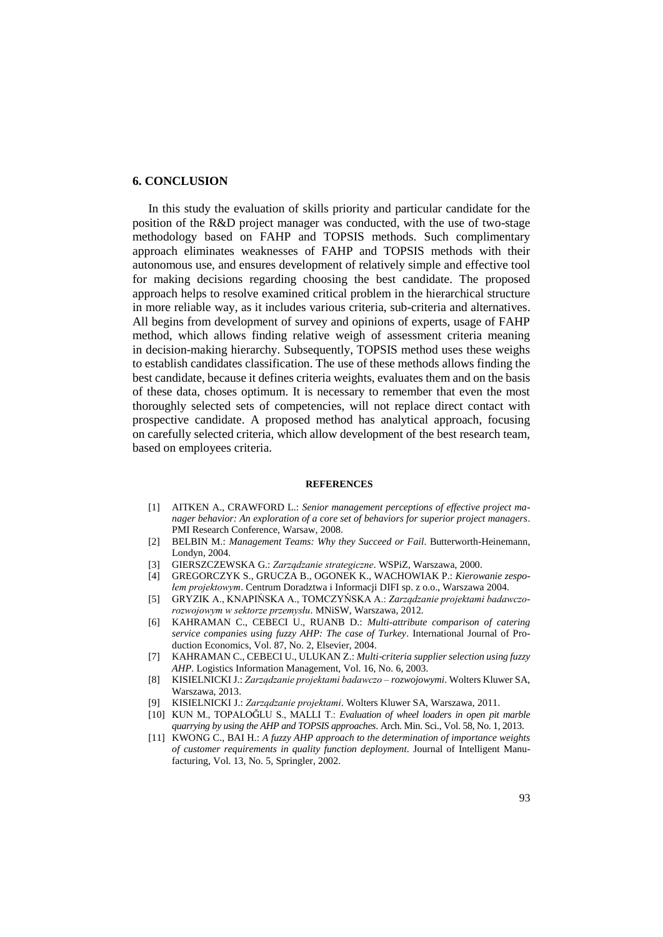## **6. CONCLUSION**

In this study the evaluation of skills priority and particular candidate for the position of the R&D project manager was conducted, with the use of two-stage methodology based on FAHP and TOPSIS methods. Such complimentary approach eliminates weaknesses of FAHP and TOPSIS methods with their autonomous use, and ensures development of relatively simple and effective tool for making decisions regarding choosing the best candidate. The proposed approach helps to resolve examined critical problem in the hierarchical structure in more reliable way, as it includes various criteria, sub-criteria and alternatives. All begins from development of survey and opinions of experts, usage of FAHP method, which allows finding relative weigh of assessment criteria meaning in decision-making hierarchy. Subsequently, TOPSIS method uses these weighs to establish candidates classification. The use of these methods allows finding the best candidate, because it defines criteria weights, evaluates them and on the basis of these data, choses optimum. It is necessary to remember that even the most thoroughly selected sets of competencies, will not replace direct contact with prospective candidate. A proposed method has analytical approach, focusing on carefully selected criteria, which allow development of the best research team, based on employees criteria.

#### **REFERENCES**

- [1] AITKEN A., CRAWFORD L.: *Senior management perceptions of effective project manager behavior: An exploration of a core set of behaviors for superior project managers*. PMI Research Conference, Warsaw, 2008.
- [2] BELBIN M.: *Management Teams: Why they Succeed or Fail*. Butterworth-Heinemann, Londyn, 2004.
- [3] GIERSZCZEWSKA G.: *Zarządzanie strategiczne*. WSPiZ, Warszawa, 2000.
- [4] GREGORCZYK S., GRUCZA B., OGONEK K., WACHOWIAK P.: *Kierowanie zespołem projektowym*. Centrum Doradztwa i Informacji DIFI sp. z o.o., Warszawa 2004.
- [5] GRYZIK A., KNAPIŃSKA A., TOMCZYŃSKA A.: *Zarządzanie projektami badawczorozwojowym w sektorze przemysłu*. MNiSW, Warszawa, 2012.
- [6] KAHRAMAN C., CEBECI U., RUANB D.: *Multi-attribute comparison of catering service companies using fuzzy AHP: The case of Turkey*. International Journal of Production Economics, Vol. 87, No. 2, Elsevier, 2004.
- [7] KAHRAMAN C., CEBECI U., ULUKAN Z.: *Multi*‐*criteria supplier selection using fuzzy AHP*. Logistics Information Management, Vol. 16, No. 6, 2003.
- [8] KISIELNICKI J.: *Zarządzanie projektami badawczo – rozwojowymi*. Wolters Kluwer SA, Warszawa, 2013.
- [9] KISIELNICKI J.: *Zarządzanie projektami*. Wolters Kluwer SA, Warszawa, 2011.
- [10] KUN M., TOPALOĞLU S., MALLI T.: *Evaluation of wheel loaders in open pit marble quarrying by using the AHP and TOPSIS approaches*. Arch. Min. Sci., Vol. 58, No. 1, 2013.
- [11] KWONG C., BAI H.: *A fuzzy AHP approach to the determination of importance weights of customer requirements in quality function deployment.* Journal of Intelligent Manufacturing, Vol. 13, No. 5, Springler, 2002.